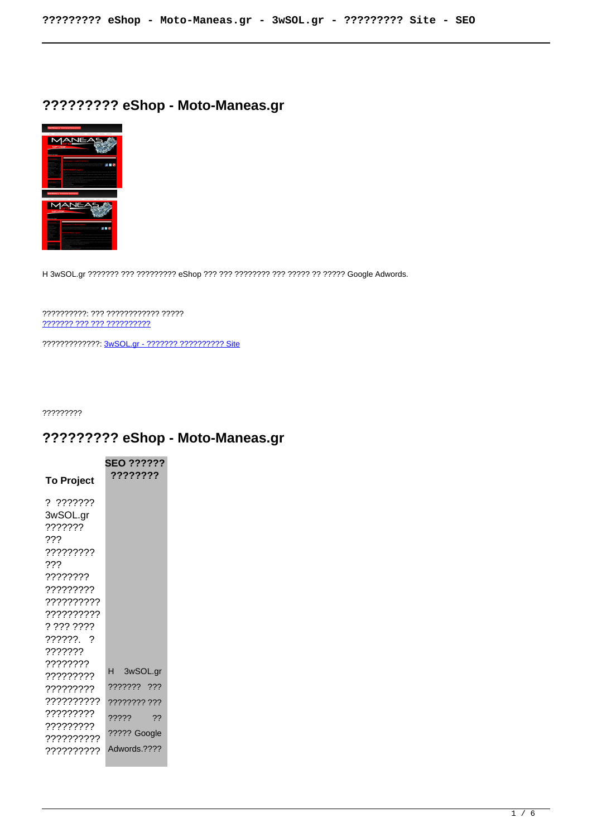## ????????? eShop - Moto-Maneas.gr



H 3wSOL.gr ??????? ??? ????????? eShop ??? ??? ???????? ??? ????? ?? ????? Google Adwords.

## 

????????????? 3wSOL.gr - ??????? ?????????? Site

?????????

## ????????? eShop - Moto-Maneas.gr

|                                                                                                                                                      | <b>SEO</b> ??????                                                                               |  |
|------------------------------------------------------------------------------------------------------------------------------------------------------|-------------------------------------------------------------------------------------------------|--|
| <b>To Project</b>                                                                                                                                    | ????????                                                                                        |  |
| ? ???????<br>3wSOL.gr<br>???????<br>???<br>?????????<br>???<br>????????<br>?????????<br>??????????<br>777777777<br>? ??? ????<br>??????.?<br>??????? |                                                                                                 |  |
| ????????<br>?????????<br>?????????<br>777777777<br>777777777<br>777777777<br>777777777<br>777777777                                                  | H 3wSOL.gr<br>??????? ???<br>77777777 777<br>?????<br>??<br><b>????? Google</b><br>Adwords.???? |  |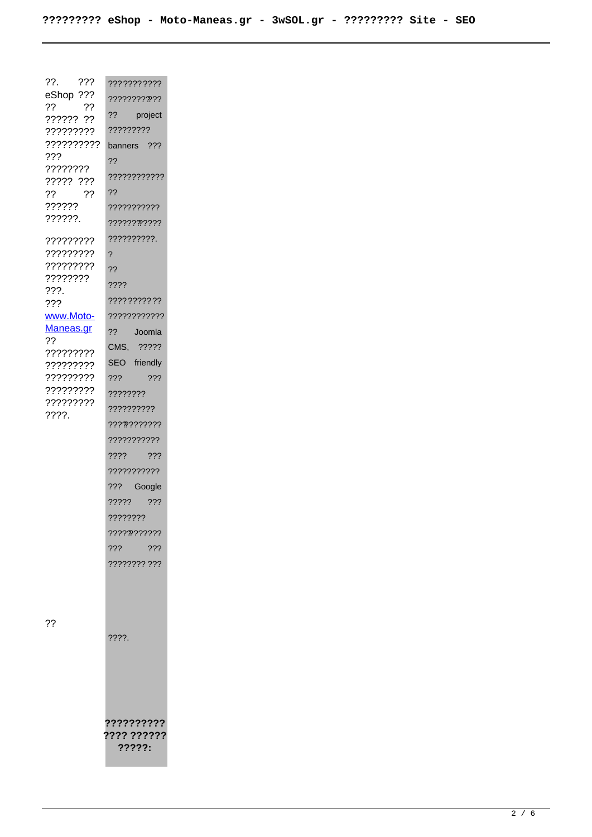| ???<br>??.             | ???????????   |
|------------------------|---------------|
| eShop ???              | ????????????  |
| ??<br>??               | ??<br>project |
| ?????? ??<br>????????? | ?????????     |
| ??????????             | banners ???   |
| ???                    |               |
| ????????               | ??            |
| ????? ???              | ????????????  |
| ??<br>??               | ??            |
| ??????                 | ???????????   |
| ??????.                | ????????????  |
| ?????????              | ??????????.   |
| ?????????              | ?             |
| ?????????              | ??            |
| ????????               | ????          |
| ???.                   |               |
| ???                    | ???????????   |
| www.Moto-              | ????????????  |
| Maneas.gr<br>??        | ??<br>Joomla  |
| ?????????              | ?????<br>CMS. |
| ?????????              | SEO friendly  |
| ?????????              | ???<br>???    |
| ?????????              | ????????      |
| ?????????              | ??????????    |
| ????.                  | ???????????   |
|                        | ???????????   |
|                        | ????<br>???   |
|                        | ???????????   |
|                        |               |
|                        | ???<br>Google |
|                        | ?????<br>???  |
|                        | ????????      |
|                        | ???????????   |
|                        | ???<br>???    |
|                        | ???????? ???  |
|                        |               |
|                        |               |
|                        |               |
| ??                     |               |
|                        | ????.         |
|                        |               |
|                        |               |
|                        |               |

?????????? ???? ??????  $??\; ??$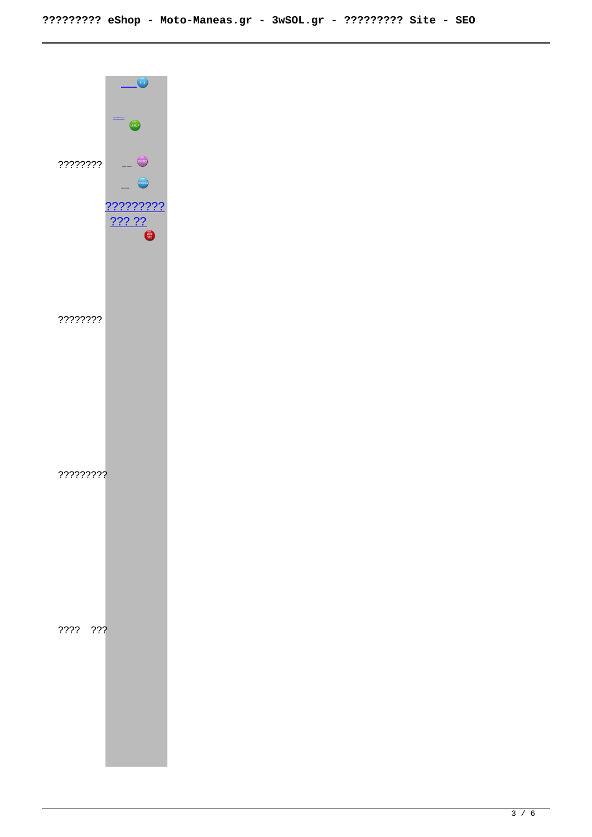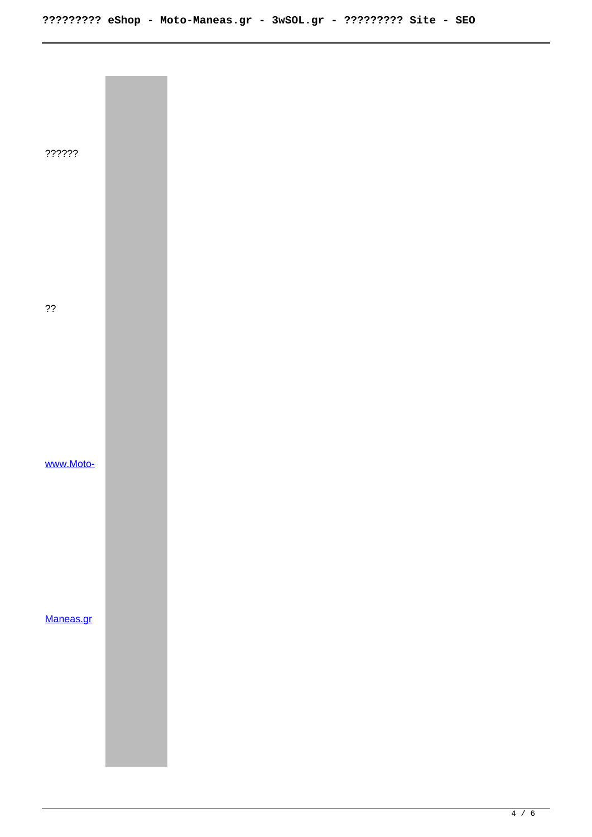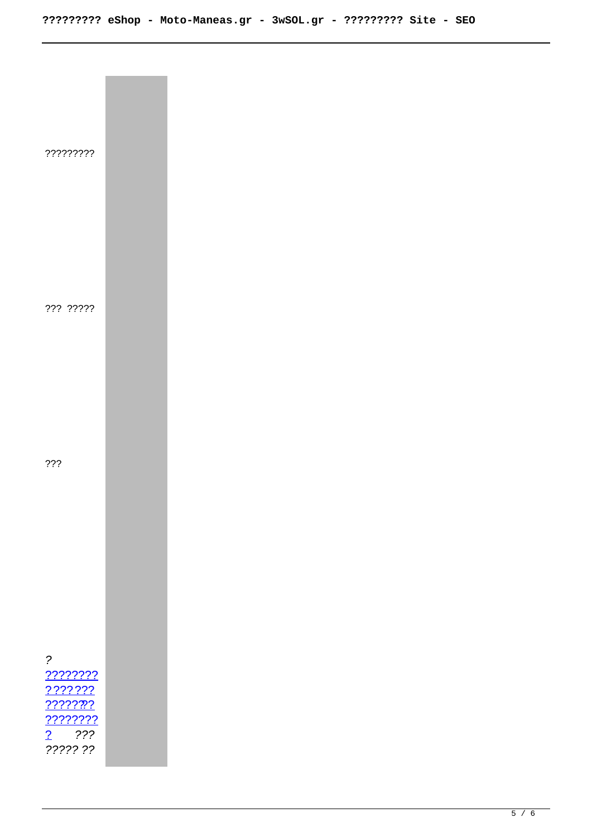